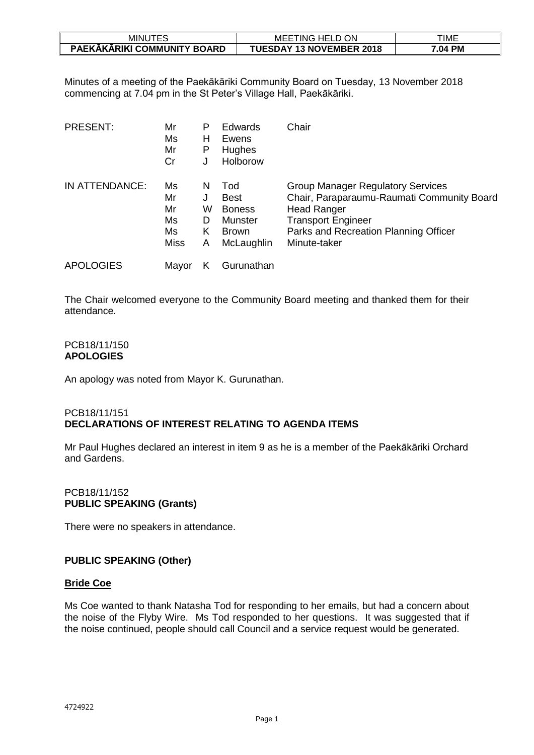| JTES<br><b>MINUT</b>        | ON<br><b>HELD</b><br>MEE<br>. ING | TIME    |
|-----------------------------|-----------------------------------|---------|
| PAEKAKARIKI COMMUNITY BOARD | <b>TUESDAY 13 NOVEMBER 2018</b>   | '.04 PM |

Minutes of a meeting of the Paekākāriki Community Board on Tuesday, 13 November 2018 commencing at 7.04 pm in the St Peter's Village Hall, Paekākāriki.

| <b>PRESENT:</b>  | Mr<br>Ms<br>Mr<br>Cr                      | P<br>Н<br>P<br>J      | <b>Edwards</b><br>Ewens<br><b>Hughes</b><br>Holborow                         | Chair                                                                                                                                                                                              |
|------------------|-------------------------------------------|-----------------------|------------------------------------------------------------------------------|----------------------------------------------------------------------------------------------------------------------------------------------------------------------------------------------------|
| IN ATTENDANCE:   | Ms<br>Mr<br>Mr<br>Ms<br>Ms<br><b>Miss</b> | N<br>w<br>D<br>κ<br>Α | Tod<br><b>Best</b><br><b>Boness</b><br>Munster<br><b>Brown</b><br>McLaughlin | <b>Group Manager Regulatory Services</b><br>Chair, Paraparaumu-Raumati Community Board<br><b>Head Ranger</b><br><b>Transport Engineer</b><br>Parks and Recreation Planning Officer<br>Minute-taker |
| <b>APOLOGIES</b> | Mavor                                     | Κ                     | Gurunathan                                                                   |                                                                                                                                                                                                    |

The Chair welcomed everyone to the Community Board meeting and thanked them for their attendance.

#### PCB18/11/150 **APOLOGIES**

An apology was noted from Mayor K. Gurunathan.

### PCB18/11/151 **DECLARATIONS OF INTEREST RELATING TO AGENDA ITEMS**

Mr Paul Hughes declared an interest in item 9 as he is a member of the Paekākāriki Orchard and Gardens.

## PCB18/11/152 **PUBLIC SPEAKING (Grants)**

There were no speakers in attendance.

## **PUBLIC SPEAKING (Other)**

### **Bride Coe**

Ms Coe wanted to thank Natasha Tod for responding to her emails, but had a concern about the noise of the Flyby Wire. Ms Tod responded to her questions. It was suggested that if the noise continued, people should call Council and a service request would be generated.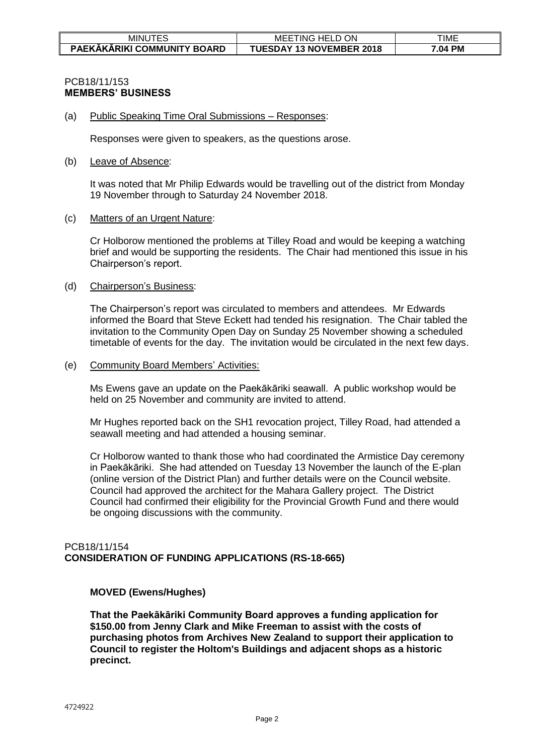| <b>MINUTES</b>              | ON<br><b>HELD</b><br>MEE<br>r ING 1 | TIME    |
|-----------------------------|-------------------------------------|---------|
| PAEKĀKĀRIKI COMMUNITY BOARD | <b>TUESDAY 13 NOVEMBER 2018</b>     | '.04 PM |

### PCB18/11/153 **MEMBERS' BUSINESS**

(a) Public Speaking Time Oral Submissions – Responses:

Responses were given to speakers, as the questions arose.

#### (b) Leave of Absence:

It was noted that Mr Philip Edwards would be travelling out of the district from Monday 19 November through to Saturday 24 November 2018.

#### (c) Matters of an Urgent Nature:

Cr Holborow mentioned the problems at Tilley Road and would be keeping a watching brief and would be supporting the residents. The Chair had mentioned this issue in his Chairperson's report.

#### (d) Chairperson's Business:

The Chairperson's report was circulated to members and attendees. Mr Edwards informed the Board that Steve Eckett had tended his resignation. The Chair tabled the invitation to the Community Open Day on Sunday 25 November showing a scheduled timetable of events for the day. The invitation would be circulated in the next few days.

#### (e) Community Board Members' Activities:

Ms Ewens gave an update on the Paekākāriki seawall. A public workshop would be held on 25 November and community are invited to attend.

Mr Hughes reported back on the SH1 revocation project, Tilley Road, had attended a seawall meeting and had attended a housing seminar.

Cr Holborow wanted to thank those who had coordinated the Armistice Day ceremony in Paekākāriki. She had attended on Tuesday 13 November the launch of the E-plan (online version of the District Plan) and further details were on the Council website. Council had approved the architect for the Mahara Gallery project. The District Council had confirmed their eligibility for the Provincial Growth Fund and there would be ongoing discussions with the community.

### PCB18/11/154 **CONSIDERATION OF FUNDING APPLICATIONS (RS-18-665)**

### **MOVED (Ewens/Hughes)**

**That the Paekākāriki Community Board approves a funding application for \$150.00 from Jenny Clark and Mike Freeman to assist with the costs of purchasing photos from Archives New Zealand to support their application to Council to register the Holtom's Buildings and adjacent shops as a historic precinct.**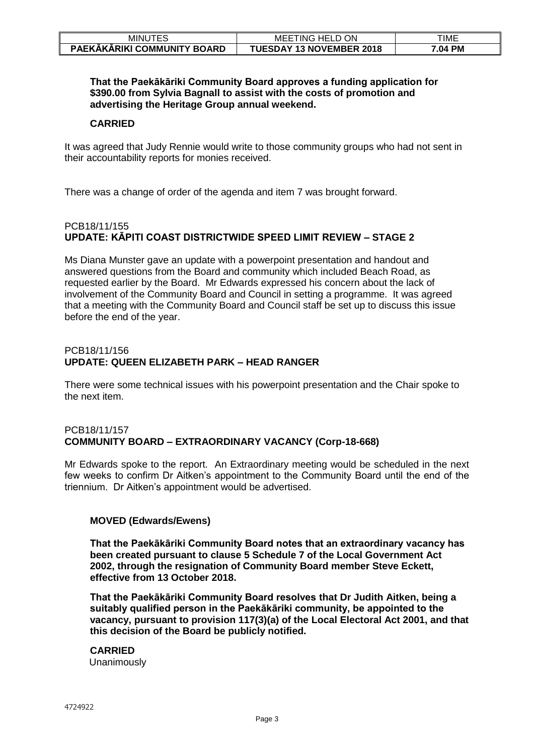| ----<br>ъ,<br><b>MINUT</b><br>∼∟ | ON<br>$\cap$ HELL .<br>ING<br>MEE         | TIME    |
|----------------------------------|-------------------------------------------|---------|
| PAEKAKARIKI COMMUNITY BOARD      | <b>13 NOVEMBER 2018</b><br><b>TUESDAY</b> | '.04 PM |

### **That the Paekākāriki Community Board approves a funding application for \$390.00 from Sylvia Bagnall to assist with the costs of promotion and advertising the Heritage Group annual weekend.**

### **CARRIED**

It was agreed that Judy Rennie would write to those community groups who had not sent in their accountability reports for monies received.

There was a change of order of the agenda and item 7 was brought forward.

# PCB18/11/155 **UPDATE: KĀPITI COAST DISTRICTWIDE SPEED LIMIT REVIEW – STAGE 2**

Ms Diana Munster gave an update with a powerpoint presentation and handout and answered questions from the Board and community which included Beach Road, as requested earlier by the Board. Mr Edwards expressed his concern about the lack of involvement of the Community Board and Council in setting a programme. It was agreed that a meeting with the Community Board and Council staff be set up to discuss this issue before the end of the year.

### PCB18/11/156 **UPDATE: QUEEN ELIZABETH PARK – HEAD RANGER**

There were some technical issues with his powerpoint presentation and the Chair spoke to the next item.

## PCB18/11/157 **COMMUNITY BOARD – EXTRAORDINARY VACANCY (Corp-18-668)**

Mr Edwards spoke to the report. An Extraordinary meeting would be scheduled in the next few weeks to confirm Dr Aitken's appointment to the Community Board until the end of the triennium. Dr Aitken's appointment would be advertised.

### **MOVED (Edwards/Ewens)**

**That the Paekākāriki Community Board notes that an extraordinary vacancy has been created pursuant to clause 5 Schedule 7 of the Local Government Act 2002, through the resignation of Community Board member Steve Eckett, effective from 13 October 2018.**

**That the Paekākāriki Community Board resolves that Dr Judith Aitken, being a suitably qualified person in the Paekākāriki community, be appointed to the vacancy, pursuant to provision 117(3)(a) of the Local Electoral Act 2001, and that this decision of the Board be publicly notified.**

#### **CARRIED** Unanimously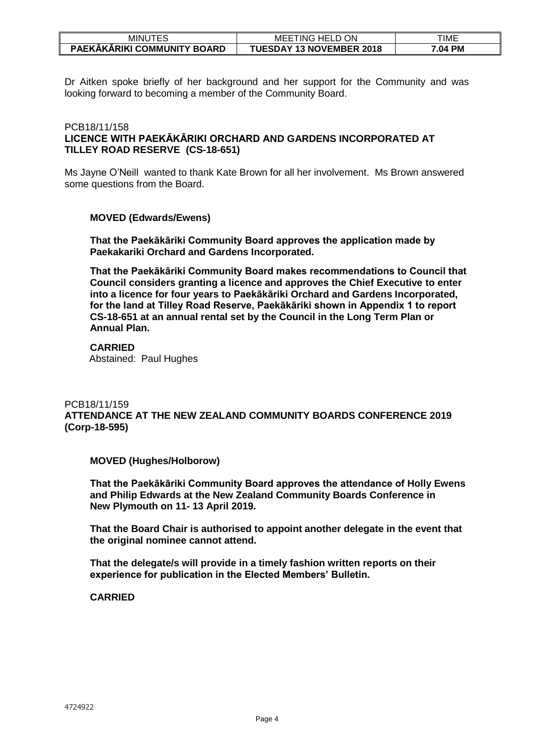| <b>MINUTES</b>                     | TING HELD C<br>ON<br>MEE <sup>-</sup> | TIME              |
|------------------------------------|---------------------------------------|-------------------|
| <b>PAEKAKARIKI COMMUNITY BOARD</b> | <b>TUESDAY 13 NOVEMBER 2018</b>       | <b>PM</b><br>7.04 |

Dr Aitken spoke briefly of her background and her support for the Community and was looking forward to becoming a member of the Community Board.

### PCB18/11/158 **LICENCE WITH PAEKĀKĀRIKI ORCHARD AND GARDENS INCORPORATED AT TILLEY ROAD RESERVE (CS-18-651)**

Ms Jayne O'Neill wanted to thank Kate Brown for all her involvement. Ms Brown answered some questions from the Board.

### **MOVED (Edwards/Ewens)**

**That the Paekākāriki Community Board approves the application made by Paekakariki Orchard and Gardens Incorporated.**

**That the Paekākāriki Community Board makes recommendations to Council that Council considers granting a licence and approves the Chief Executive to enter into a licence for four years to Paekākāriki Orchard and Gardens Incorporated, for the land at Tilley Road Reserve, Paekākāriki shown in Appendix 1 to report CS-18-651 at an annual rental set by the Council in the Long Term Plan or Annual Plan.**

#### **CARRIED** Abstained: Paul Hughes

## PCB18/11/159 **ATTENDANCE AT THE NEW ZEALAND COMMUNITY BOARDS CONFERENCE 2019 (Corp-18-595)**

### **MOVED (Hughes/Holborow)**

**That the Paekākāriki Community Board approves the attendance of Holly Ewens and Philip Edwards at the New Zealand Community Boards Conference in New Plymouth on 11- 13 April 2019.**

**That the Board Chair is authorised to appoint another delegate in the event that the original nominee cannot attend.**

**That the delegate/s will provide in a timely fashion written reports on their experience for publication in the Elected Members' Bulletin.**

### **CARRIED**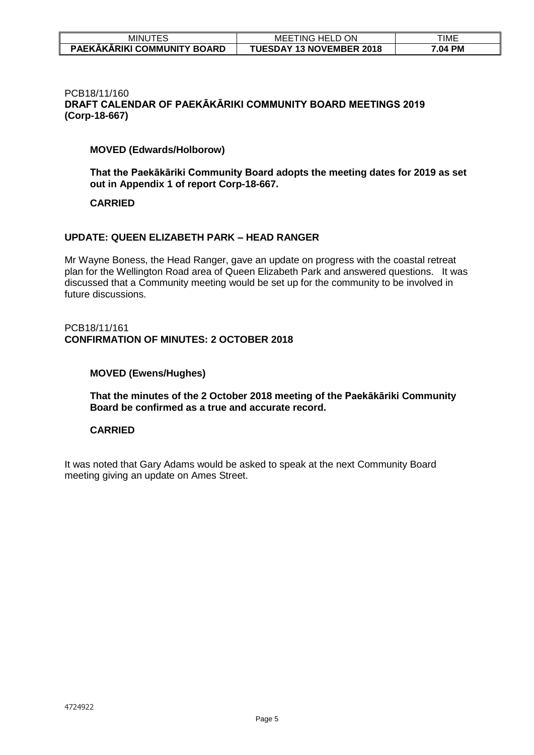| <b>ITES</b><br>MINU         | ON<br>HELL<br>MEE<br>-ING       | TIME    |
|-----------------------------|---------------------------------|---------|
| PAEKAKARIKI COMMUNITY BOARD | <b>TUESDAY 13 NOVEMBER 2018</b> | '.04 PM |

#### PCB18/11/160 **DRAFT CALENDAR OF PAEKĀKĀRIKI COMMUNITY BOARD MEETINGS 2019 (Corp-18-667)**

## **MOVED (Edwards/Holborow)**

**That the Paekākāriki Community Board adopts the meeting dates for 2019 as set out in Appendix 1 of report Corp-18-667.**

### **CARRIED**

## **UPDATE: QUEEN ELIZABETH PARK – HEAD RANGER**

Mr Wayne Boness, the Head Ranger, gave an update on progress with the coastal retreat plan for the Wellington Road area of Queen Elizabeth Park and answered questions. It was discussed that a Community meeting would be set up for the community to be involved in future discussions.

### PCB18/11/161 **CONFIRMATION OF MINUTES: 2 OCTOBER 2018**

### **MOVED (Ewens/Hughes)**

**That the minutes of the 2 October 2018 meeting of the Paekākāriki Community Board be confirmed as a true and accurate record.** 

## **CARRIED**

It was noted that Gary Adams would be asked to speak at the next Community Board meeting giving an update on Ames Street.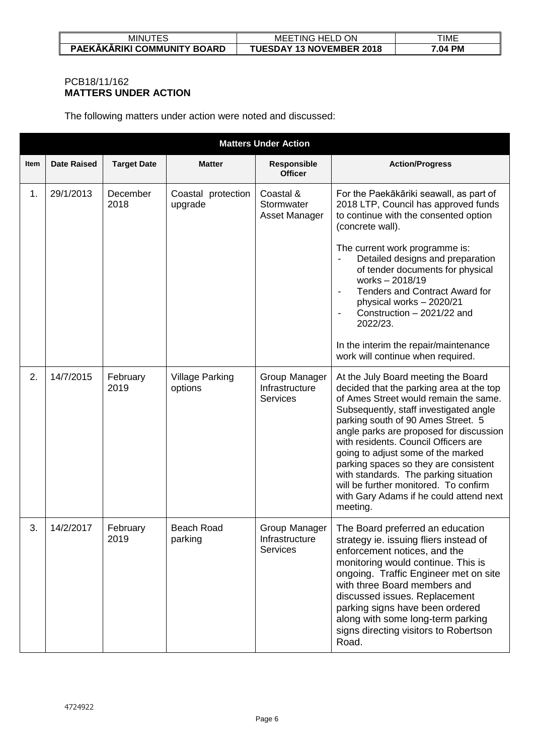| MINU '                             | ON<br>FTING<br>MEE<br>HELD      | TIME      |
|------------------------------------|---------------------------------|-----------|
| <b>PAEKAKARIKI COMMUNITY BOARD</b> | <b>TUESDAY 13 NOVEMBER 2018</b> | РM<br>.U4 |

# PCB18/11/162 **MATTERS UNDER ACTION**

The following matters under action were noted and discussed:

|      | <b>Matters Under Action</b> |                    |                                   |                                                    |                                                                                                                                                                                                                                                                                                                                                                                                                                                                                                                     |  |  |
|------|-----------------------------|--------------------|-----------------------------------|----------------------------------------------------|---------------------------------------------------------------------------------------------------------------------------------------------------------------------------------------------------------------------------------------------------------------------------------------------------------------------------------------------------------------------------------------------------------------------------------------------------------------------------------------------------------------------|--|--|
| Item | <b>Date Raised</b>          | <b>Target Date</b> | <b>Matter</b>                     | Responsible<br><b>Officer</b>                      | <b>Action/Progress</b>                                                                                                                                                                                                                                                                                                                                                                                                                                                                                              |  |  |
| 1.   | 29/1/2013                   | December<br>2018   | Coastal protection<br>upgrade     | Coastal &<br>Stormwater<br>Asset Manager           | For the Paekākāriki seawall, as part of<br>2018 LTP, Council has approved funds<br>to continue with the consented option<br>(concrete wall).<br>The current work programme is:<br>Detailed designs and preparation<br>of tender documents for physical<br>works-2018/19<br>Tenders and Contract Award for<br>$\blacksquare$<br>physical works - 2020/21<br>Construction - 2021/22 and<br>$\qquad \qquad \blacksquare$<br>2022/23.<br>In the interim the repair/maintenance<br>work will continue when required.     |  |  |
| 2.   | 14/7/2015                   | February<br>2019   | <b>Village Parking</b><br>options | Group Manager<br>Infrastructure<br><b>Services</b> | At the July Board meeting the Board<br>decided that the parking area at the top<br>of Ames Street would remain the same.<br>Subsequently, staff investigated angle<br>parking south of 90 Ames Street. 5<br>angle parks are proposed for discussion<br>with residents. Council Officers are<br>going to adjust some of the marked<br>parking spaces so they are consistent<br>with standards. The parking situation<br>will be further monitored. To confirm<br>with Gary Adams if he could attend next<br>meeting. |  |  |
| 3.   | 14/2/2017                   | February<br>2019   | <b>Beach Road</b><br>parking      | Group Manager<br>Infrastructure<br><b>Services</b> | The Board preferred an education<br>strategy ie. issuing fliers instead of<br>enforcement notices, and the<br>monitoring would continue. This is<br>ongoing. Traffic Engineer met on site<br>with three Board members and<br>discussed issues. Replacement<br>parking signs have been ordered<br>along with some long-term parking<br>signs directing visitors to Robertson<br>Road.                                                                                                                                |  |  |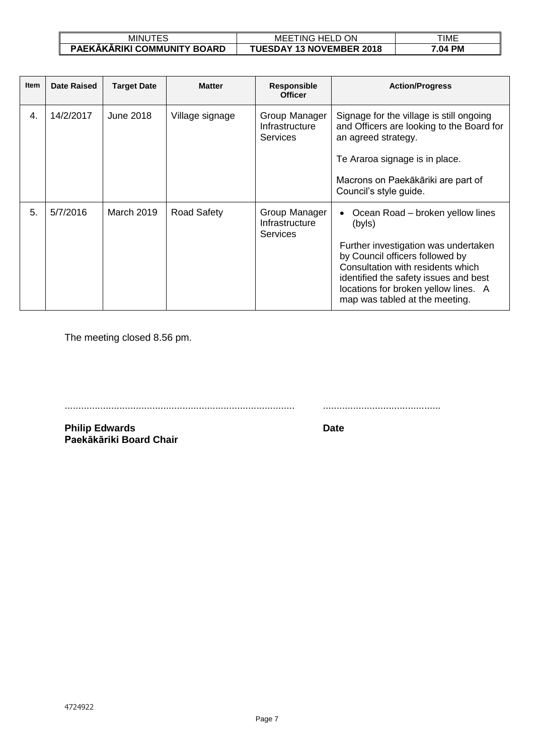| <b>MINUTES</b>              | <b>ON</b><br>HELL<br>HNG.<br>MEE | TIME             |
|-----------------------------|----------------------------------|------------------|
| PAEKAKARIKI COMMUNITY BOARD | <b>TUESDAY 13 NOVEMBER 2018</b>  | <b>PM</b><br>.04 |

| <b>Item</b> | <b>Date Raised</b> | <b>Target Date</b> | <b>Matter</b>      | <b>Responsible</b><br><b>Officer</b>               | <b>Action/Progress</b>                                                                                                                                                                                                                                                        |
|-------------|--------------------|--------------------|--------------------|----------------------------------------------------|-------------------------------------------------------------------------------------------------------------------------------------------------------------------------------------------------------------------------------------------------------------------------------|
| 4.          | 14/2/2017          | June 2018          | Village signage    | Group Manager<br>Infrastructure<br><b>Services</b> | Signage for the village is still ongoing<br>and Officers are looking to the Board for<br>an agreed strategy.<br>Te Araroa signage is in place.<br>Macrons on Paekākāriki are part of<br>Council's style guide.                                                                |
| 5.          | 5/7/2016           | March 2019         | <b>Road Safety</b> | Group Manager<br>Infrastructure<br><b>Services</b> | Ocean Road – broken yellow lines<br>(byls)<br>Further investigation was undertaken<br>by Council officers followed by<br>Consultation with residents which<br>identified the safety issues and best<br>locations for broken yellow lines. A<br>map was tabled at the meeting. |

The meeting closed 8.56 pm.

.................................................................................... ...........................................

**Philip Edwards Date Paekākāriki Board Chair**